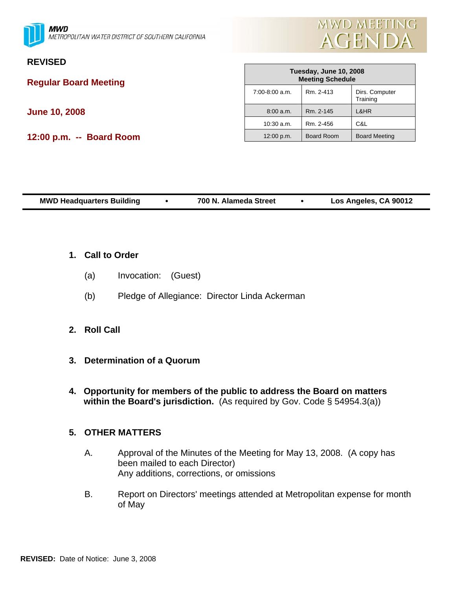



# **REVISED**

**Regular Board Meeting** 

**June 10, 2008** 

**12:00 p.m. -- Board Room** 

| Tuesday, June 10, 2008<br><b>Meeting Schedule</b> |                   |                            |  |  |  |
|---------------------------------------------------|-------------------|----------------------------|--|--|--|
| $7:00 - 8:00$ a.m.                                | Rm. 2-413         | Dirs. Computer<br>Training |  |  |  |
| 8:00 a.m.                                         | Rm. 2-145         | L&HR                       |  |  |  |
| $10:30$ a.m.                                      | Rm. 2-456         | C&L                        |  |  |  |
| 12:00 p.m.                                        | <b>Board Room</b> | <b>Board Meeting</b>       |  |  |  |

| <b>MWD Headquarters Building</b> | 700 N. Alameda Street | Los Angeles, CA 90012 |  |
|----------------------------------|-----------------------|-----------------------|--|
|                                  |                       |                       |  |

- **1. Call to Order**
	- (a) Invocation: (Guest)
	- (b) Pledge of Allegiance: Director Linda Ackerman
- **2. Roll Call**
- **3. Determination of a Quorum**
- **4. Opportunity for members of the public to address the Board on matters within the Board's jurisdiction.** (As required by Gov. Code § 54954.3(a))

# **5. OTHER MATTERS**

- A. Approval of the Minutes of the Meeting for May 13, 2008. (A copy has been mailed to each Director) Any additions, corrections, or omissions
- B. Report on Directors' meetings attended at Metropolitan expense for month of May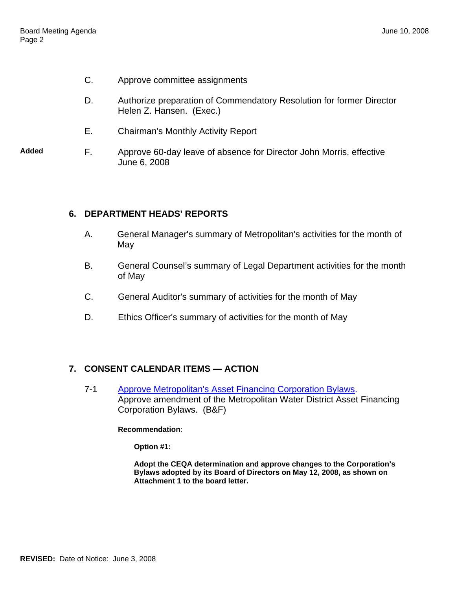- C. Approve committee assignments
- D. Authorize preparation of Commendatory Resolution for former Director Helen Z. Hansen. (Exec.)
- E. Chairman's Monthly Activity Report
- **Added** F. Approve 60-day leave of absence for Director John Morris, effective June 6, 2008

### **6. DEPARTMENT HEADS' REPORTS**

- A. General Manager's summary of Metropolitan's activities for the month of May
- B. General Counsel's summary of Legal Department activities for the month of May
- C. General Auditor's summary of activities for the month of May
- D. Ethics Officer's summary of activities for the month of May

# **7. CONSENT CALENDAR ITEMS — ACTION**

7-1 Approve Metropolitan's Asset Financing Corporation Bylaws. Approve amendment of the Metropolitan Water District Asset Financing Corporation Bylaws. (B&F)

**Recommendation**:

**Option #1:** 

**Adopt the CEQA determination and approve changes to the Corporation's Bylaws adopted by its Board of Directors on May 12, 2008, as shown on Attachment 1 to the board letter.**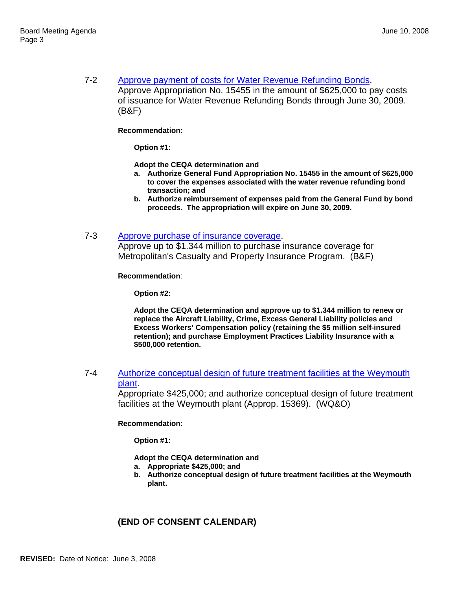7-2 Approve payment of costs for Water Revenue Refunding Bonds. Approve Appropriation No. 15455 in the amount of \$625,000 to pay costs of issuance for Water Revenue Refunding Bonds through June 30, 2009. (B&F)

### **Recommendation:**

**Option #1:** 

**Adopt the CEQA determination and** 

- **a. Authorize General Fund Appropriation No. 15455 in the amount of \$625,000 to cover the expenses associated with the water revenue refunding bond transaction; and**
- **b. Authorize reimbursement of expenses paid from the General Fund by bond proceeds. The appropriation will expire on June 30, 2009.**
- 7-3 Approve purchase of insurance coverage.

Approve up to \$1.344 million to purchase insurance coverage for Metropolitan's Casualty and Property Insurance Program. (B&F)

**Recommendation**:

**Option #2:** 

**Adopt the CEQA determination and approve up to \$1.344 million to renew or replace the Aircraft Liability, Crime, Excess General Liability policies and Excess Workers' Compensation policy (retaining the \$5 million self-insured retention); and purchase Employment Practices Liability Insurance with a \$500,000 retention.** 

7-4 Authorize conceptual design of future treatment facilities at the Weymouth plant.

> Appropriate \$425,000; and authorize conceptual design of future treatment facilities at the Weymouth plant (Approp. 15369). (WQ&O)

**Recommendation:** 

**Option #1:** 

**Adopt the CEQA determination and** 

- **a. Appropriate \$425,000; and**
- **b. Authorize conceptual design of future treatment facilities at the Weymouth plant.**

# **(END OF CONSENT CALENDAR)**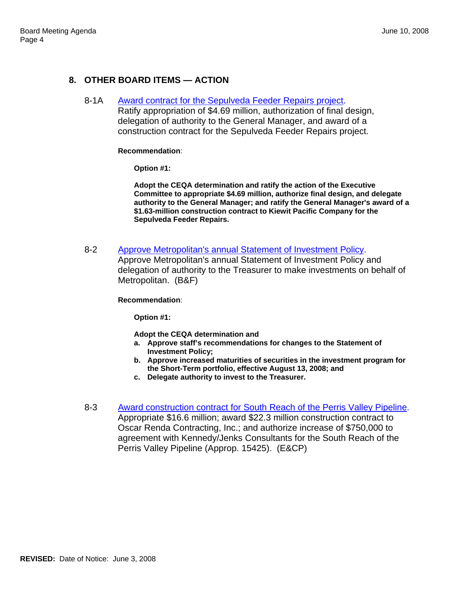# **8. OTHER BOARD ITEMS — ACTION**

### 8-1A Award contract for the Sepulveda Feeder Repairs project.

Ratify appropriation of \$4.69 million, authorization of final design, delegation of authority to the General Manager, and award of a construction contract for the Sepulveda Feeder Repairs project.

### **Recommendation**:

**Option #1:** 

**Adopt the CEQA determination and ratify the action of the Executive Committee to appropriate \$4.69 million, authorize final design, and delegate authority to the General Manager; and ratify the General Manager's award of a \$1.63-million construction contract to Kiewit Pacific Company for the Sepulveda Feeder Repairs.** 

8-2 Approve Metropolitan's annual Statement of Investment Policy.

Approve Metropolitan's annual Statement of Investment Policy and delegation of authority to the Treasurer to make investments on behalf of Metropolitan. (B&F)

**Recommendation**:

**Option #1:** 

**Adopt the CEQA determination and** 

- **a. Approve staff's recommendations for changes to the Statement of Investment Policy;**
- **b. Approve increased maturities of securities in the investment program for the Short-Term portfolio, effective August 13, 2008; and**
- **c. Delegate authority to invest to the Treasurer.**
- 8-3 Award construction contract for South Reach of the Perris Valley Pipeline. Appropriate \$16.6 million; award \$22.3 million construction contract to Oscar Renda Contracting, Inc.; and authorize increase of \$750,000 to agreement with Kennedy/Jenks Consultants for the South Reach of the Perris Valley Pipeline (Approp. 15425). (E&CP)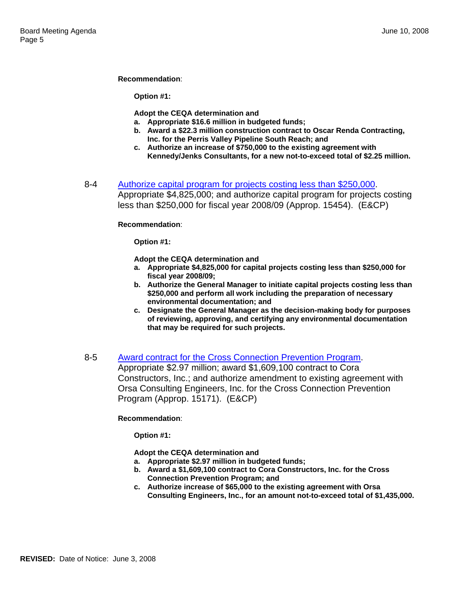### **Recommendation**:

**Option #1:** 

**Adopt the CEQA determination and**

- **a. Appropriate \$16.6 million in budgeted funds;**
- **b. Award a \$22.3 million construction contract to Oscar Renda Contracting, Inc. for the Perris Valley Pipeline South Reach; and**
- **c. Authorize an increase of \$750,000 to the existing agreement with Kennedy/Jenks Consultants, for a new not-to-exceed total of \$2.25 million.**
- 8-4 Authorize capital program for projects costing less than \$250,000. Appropriate \$4,825,000; and authorize capital program for projects costing less than \$250,000 for fiscal year 2008/09 (Approp. 15454). (E&CP)

**Recommendation**:

**Option #1:** 

**Adopt the CEQA determination and** 

- **a. Appropriate \$4,825,000 for capital projects costing less than \$250,000 for fiscal year 2008/09;**
- **b. Authorize the General Manager to initiate capital projects costing less than \$250,000 and perform all work including the preparation of necessary environmental documentation; and**
- **c. Designate the General Manager as the decision-making body for purposes of reviewing, approving, and certifying any environmental documentation that may be required for such projects.**
- 8-5 Award contract for the Cross Connection Prevention Program.

Appropriate \$2.97 million; award \$1,609,100 contract to Cora Constructors, Inc.; and authorize amendment to existing agreement with Orsa Consulting Engineers, Inc. for the Cross Connection Prevention Program (Approp. 15171). (E&CP)

### **Recommendation**:

**Option #1:** 

**Adopt the CEQA determination and** 

- **a. Appropriate \$2.97 million in budgeted funds;**
- **b. Award a \$1,609,100 contract to Cora Constructors, Inc. for the Cross Connection Prevention Program; and**
- **c. Authorize increase of \$65,000 to the existing agreement with Orsa Consulting Engineers, Inc., for an amount not-to-exceed total of \$1,435,000.**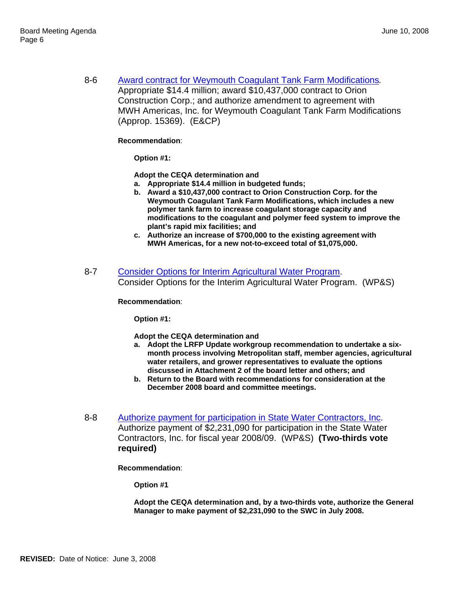8-6 Award contract for Weymouth Coagulant Tank Farm Modifications*.* Appropriate \$14.4 million; award \$10,437,000 contract to Orion Construction Corp.; and authorize amendment to agreement with MWH Americas, Inc. for Weymouth Coagulant Tank Farm Modifications (Approp. 15369). (E&CP)

### **Recommendation**:

**Option #1:** 

**Adopt the CEQA determination and** 

- **a. Appropriate \$14.4 million in budgeted funds;**
- **b. Award a \$10,437,000 contract to Orion Construction Corp. for the Weymouth Coagulant Tank Farm Modifications, which includes a new polymer tank farm to increase coagulant storage capacity and modifications to the coagulant and polymer feed system to improve the plant's rapid mix facilities; and**
- **c. Authorize an increase of \$700,000 to the existing agreement with MWH Americas, for a new not-to-exceed total of \$1,075,000.**
- 8-7 Consider Options for Interim Agricultural Water Program. Consider Options for the Interim Agricultural Water Program. (WP&S)

#### **Recommendation**:

**Option #1:** 

**Adopt the CEQA determination and** 

- **a. Adopt the LRFP Update workgroup recommendation to undertake a sixmonth process involving Metropolitan staff, member agencies, agricultural water retailers, and grower representatives to evaluate the options discussed in Attachment 2 of the board letter and others; and**
- **b. Return to the Board with recommendations for consideration at the December 2008 board and committee meetings.**
- 8-8 Authorize payment for participation in State Water Contractors, Inc. Authorize payment of \$2,231,090 for participation in the State Water Contractors, Inc. for fiscal year 2008/09. (WP&S) **(Two-thirds vote required)**

**Recommendation**:

**Option #1** 

**Adopt the CEQA determination and, by a two-thirds vote, authorize the General Manager to make payment of \$2,231,090 to the SWC in July 2008.**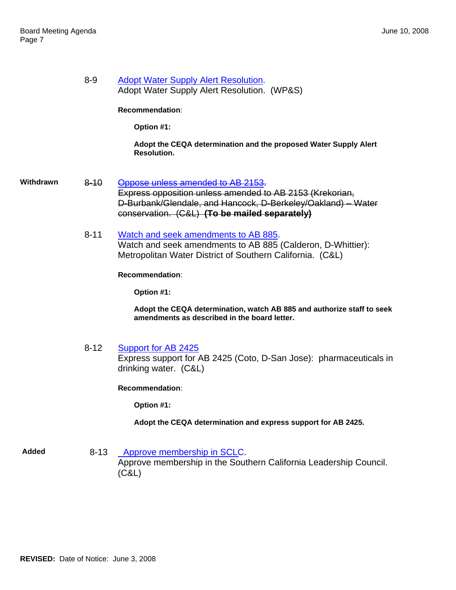**Withdrawn** 

| 8-9      | <b>Adopt Water Supply Alert Resolution.</b><br>Adopt Water Supply Alert Resolution. (WP&S)                                                                                                                     |
|----------|----------------------------------------------------------------------------------------------------------------------------------------------------------------------------------------------------------------|
|          | Recommendation:                                                                                                                                                                                                |
|          | Option #1:                                                                                                                                                                                                     |
|          | Adopt the CEQA determination and the proposed Water Supply Alert<br><b>Resolution.</b>                                                                                                                         |
| $8 - 10$ | Oppose unless amended to AB 2153.<br>Express opposition unless amended to AB 2153 (Krekorian,<br>D-Burbank/Glendale, and Hancock, D-Berkeley/Oakland) - Water<br>conservation. (C&L) (To be mailed separately) |
| $8 - 11$ | Watch and seek amendments to AB 885.<br>Watch and seek amendments to AB 885 (Calderon, D-Whittier):<br>Metropolitan Water District of Southern California. (C&L)                                               |
|          | Recommendation:                                                                                                                                                                                                |
|          | Option #1:                                                                                                                                                                                                     |
|          | Adopt the CEQA determination, watch AB 885 and authorize staff to seek<br>amendments as described in the board letter.                                                                                         |
| $8 - 12$ | Support for AB 2425<br>Express support for AB 2425 (Coto, D-San Jose): pharmaceuticals in<br>drinking water. (C&L)                                                                                             |
|          | Recommendation:                                                                                                                                                                                                |
|          | Option #1:                                                                                                                                                                                                     |

**Adopt the CEQA determination and express support for AB 2425.** 

Added 8-13 Approve membership in SCLC. Approve membership in the Southern California Leadership Council.  $(\dot{C}\dot{\&}L)$